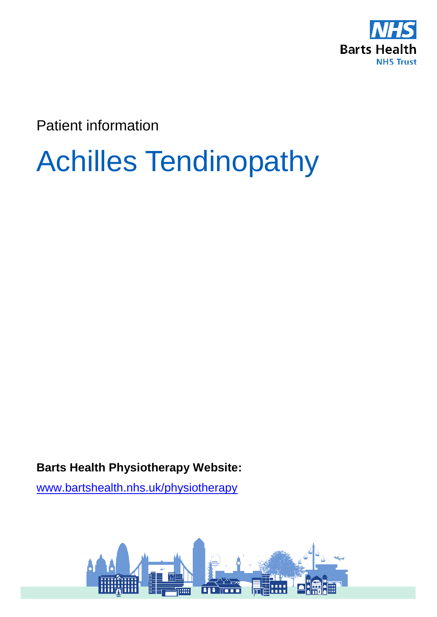

Patient information

# Achilles Tendinopathy

**Barts Health Physiotherapy Website:** 

[www.bartshealth.nhs.uk/physiotherapy](http://www.bartshealth.nhs.uk/physiotherapy)

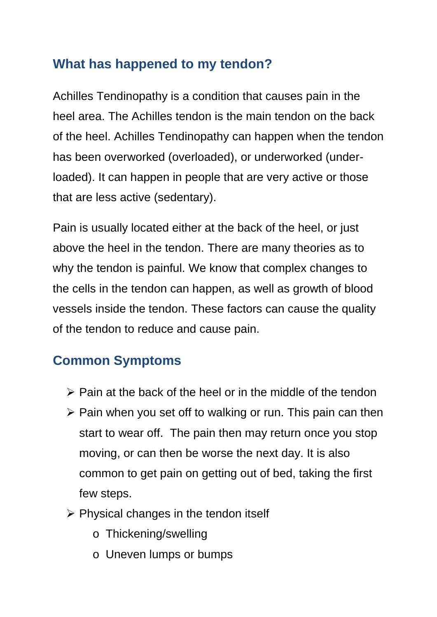### **What has happened to my tendon?**

Achilles Tendinopathy is a condition that causes pain in the heel area. The Achilles tendon is the main tendon on the back of the heel. Achilles Tendinopathy can happen when the tendon has been overworked (overloaded), or underworked (underloaded). It can happen in people that are very active or those that are less active (sedentary).

Pain is usually located either at the back of the heel, or just above the heel in the tendon. There are many theories as to why the tendon is painful. We know that complex changes to the cells in the tendon can happen, as well as growth of blood vessels inside the tendon. These factors can cause the quality of the tendon to reduce and cause pain.

### **Common Symptoms**

- $\triangleright$  Pain at the back of the heel or in the middle of the tendon
- $\triangleright$  Pain when you set off to walking or run. This pain can then start to wear off. The pain then may return once you stop moving, or can then be worse the next day. It is also common to get pain on getting out of bed, taking the first few steps.
- $\triangleright$  Physical changes in the tendon itself
	- o Thickening/swelling
	- o Uneven lumps or bumps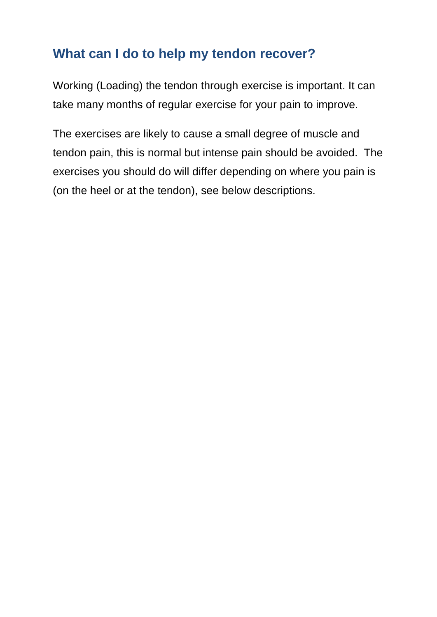### **What can I do to help my tendon recover?**

Working (Loading) the tendon through exercise is important. It can take many months of regular exercise for your pain to improve.

The exercises are likely to cause a small degree of muscle and tendon pain, this is normal but intense pain should be avoided. The exercises you should do will differ depending on where you pain is (on the heel or at the tendon), see below descriptions.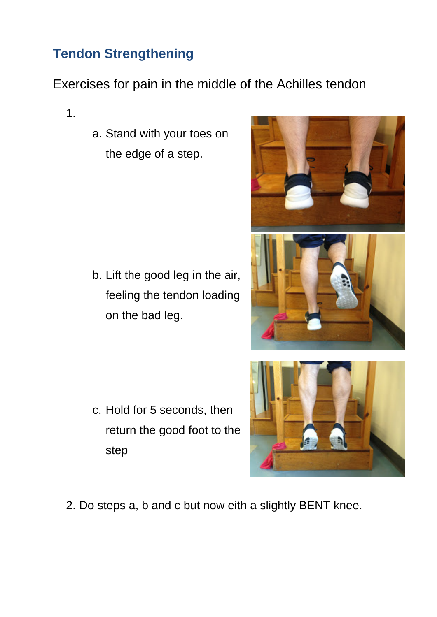## **Tendon Strengthening**

### Exercises for pain in the middle of the Achilles tendon

1.

a. Stand with your toes on the edge of a step.

b. Lift the good leg in the air, feeling the tendon loading on the bad leg.

c. Hold for 5 seconds, then return the good foot to the step





2. Do steps a, b and c but now eith a slightly BENT knee.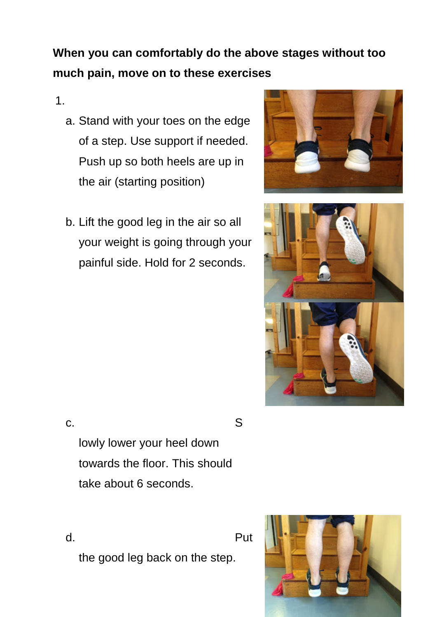# **When you can comfortably do the above stages without too much pain, move on to these exercises**

#### 1.

- a. Stand with your toes on the edge of a step. Use support if needed. Push up so both heels are up in the air (starting position)
- b. Lift the good leg in the air so all your weight is going through your painful side. Hold for 2 seconds.





c. S

lowly lower your heel down towards the floor. This should take about 6 seconds.

d. Put the good leg back on the step.

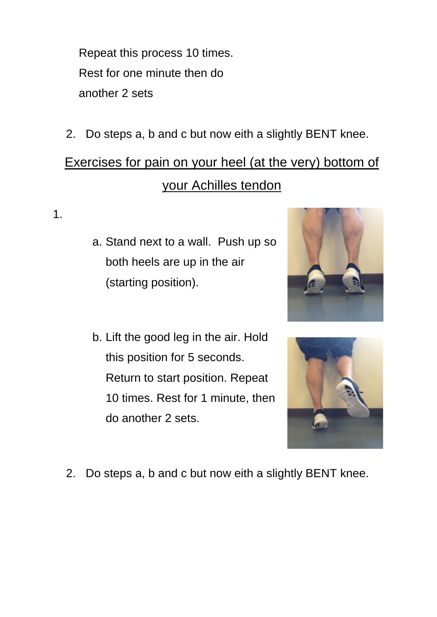Repeat this process 10 times. Rest for one minute then do another 2 sets

2. Do steps a, b and c but now eith a slightly BENT knee.

# Exercises for pain on your heel (at the very) bottom of your Achilles tendon

1.

- a. Stand next to a wall. Push up so both heels are up in the air (starting position).
- b. Lift the good leg in the air. Hold this position for 5 seconds. Return to start position. Repeat 10 times. Rest for 1 minute, then do another 2 sets.





2. Do steps a, b and c but now eith a slightly BENT knee.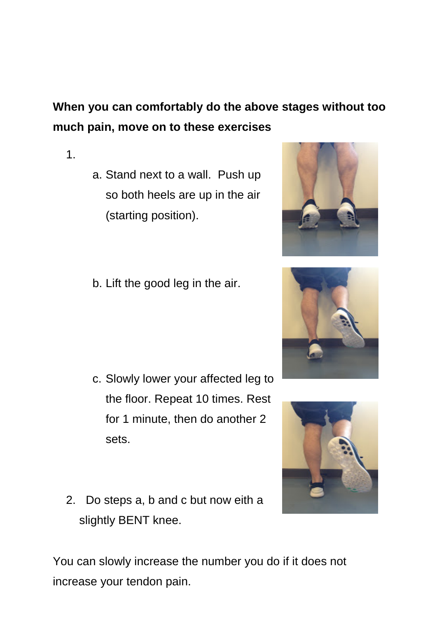# **When you can comfortably do the above stages without too much pain, move on to these exercises**

- 1.
- a. Stand next to a wall. Push up so both heels are up in the air (starting position).
- b. Lift the good leg in the air.

- c. Slowly lower your affected leg to the floor. Repeat 10 times. Rest for 1 minute, then do another 2 sets.
- 2. Do steps a, b and c but now eith a slightly BENT knee.

You can slowly increase the number you do if it does not increase your tendon pain.





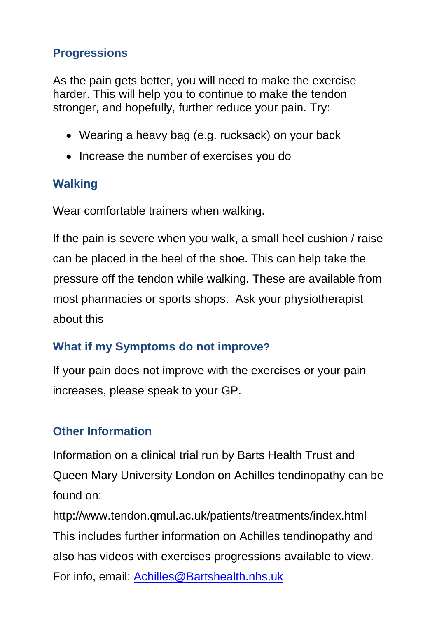#### **Progressions**

As the pain gets better, you will need to make the exercise harder. This will help you to continue to make the tendon stronger, and hopefully, further reduce your pain. Try:

- Wearing a heavy bag (e.g. rucksack) on your back
- Increase the number of exercises you do

### **Walking**

Wear comfortable trainers when walking.

If the pain is severe when you walk, a small heel cushion / raise can be placed in the heel of the shoe. This can help take the pressure off the tendon while walking. These are available from most pharmacies or sports shops. Ask your physiotherapist about this

### **What if my Symptoms do not improve?**

If your pain does not improve with the exercises or your pain increases, please speak to your GP.

### **Other Information**

Information on a clinical trial run by Barts Health Trust and Queen Mary University London on Achilles tendinopathy can be found on:

<http://www.tendon.qmul.ac.uk/patients/treatments/index.html> This includes further information on Achilles tendinopathy and also has videos with exercises progressions available to view. For info, email: [Achilles@Bartshealth.nhs.uk](mailto:Achilles@Bartshealth.nhs.uk)